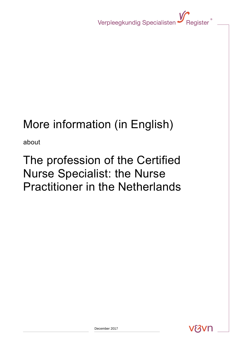Verpleegkundig Specialisten Vergister<sup>®</sup>

# More information (in English)

about

## The profession of the Certified Nurse Specialist: the Nurse Practitioner in the Netherlands

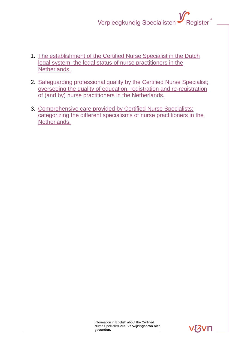### Register<sup>®</sup> Verpleegkundig Specialisten

- 1. [The establishment of the Certified Nurse Specialist in the Dutch](#page-2-0)  [legal system; the legal status of nurse practitioners in the](#page-2-0)  [Netherlands.](#page-2-0)
- 2. [Safeguarding professional quality by the Certified Nurse Specialist;](#page-3-0)  [overseeing the quality of education, registration and re-registration](#page-3-0)  [of \(and by\) nurse practitioners in the Netherlands.](#page-3-0)
- 3. [Comprehensive care provided by Certified Nurse Specialists;](#page-3-1)  [categorizing the different specialisms of nurse practitioners in the](#page-3-1)  [Netherlands.](#page-3-1)

**RAVE**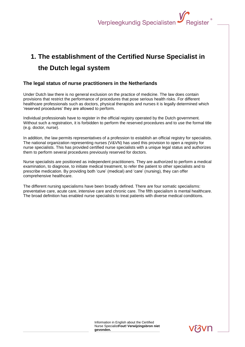## <span id="page-2-0"></span>**1. The establishment of the Certified Nurse Specialist in the Dutch legal system**

#### **The legal status of nurse practitioners in the Netherlands**

Under Dutch law there is no general exclusion on the practice of medicine. The law does contain provisions that restrict the performance of procedures that pose serious health risks. For different healthcare professionals such as doctors, physical therapists and nurses it is legally determined which 'reserved procedures' they are allowed to perform.

Individual professionals have to register in the official registry operated by the Dutch government. Without such a registration, it is forbidden to perform the reserved procedures and to use the formal title (e.g. doctor, nurse).

In addition, the law permits representatives of a profession to establish an official registry for specialists. The national organization representing nurses (V&VN) has used this provision to open a registry for nurse specialists. This has provided certified nurse specialists with a unique legal status and authorizes them to perform several procedures previously reserved for doctors.

Nurse specialists are positioned as independent practitioners. They are authorized to perform a medical examination, to diagnose, to initiate medical treatment, to refer the patient to other specialists and to prescribe medication. By providing both 'cure' (medical) and 'care' (nursing), they can offer comprehensive healthcare.

The different nursing specialisms have been broadly defined. There are four somatic specialisms: preventative care, acute care, intensive care and chronic care. The fifth specialism is mental healthcare. The broad definition has enabled nurse specialists to treat patients with diverse medical conditions.

> Information in English about the Certified Nurse Specialist**Fout! Verwijzingsbron niet gevonden.**

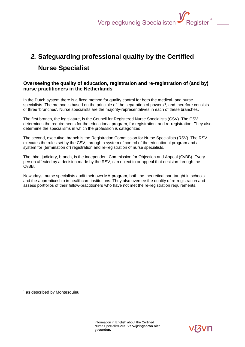### <span id="page-3-0"></span>*2.* **Safeguarding professional quality by the Certified Nurse Specialist**

#### **Overseeing the quality of education, registration and re-registration of (and by) nurse practitioners in the Netherlands**

In the Dutch system there is a fixed method for quality control for both the medical- and nurse specialists. The method is based on the principle of 'the separation of powers'<sup>1</sup>, and therefore consists of three 'branches'. Nurse specialists are the majority-representatives in each of these branches.

The first branch, the legislature, is the Council for Registered Nurse Specialists (CSV). The CSV determines the requirements for the educational program, for registration, and re-registration. They also determine the specialisms in which the profession is categorized.

The second, executive, branch is the Registration Commission for Nurse Specialists (RSV). The RSV executes the rules set by the CSV, through a system of control of the educational program and a system for (termination of) registration and re-registration of nurse specialists.

The third, judiciary, branch, is the independent Commission for Objection and Appeal (CvBB). Every person affected by a decision made by the RSV, can object to or appeal that decision through the CvBB.

<span id="page-3-1"></span>Nowadays, nurse specialists audit their own MA-program, both the theoretical part taught in schools and the apprenticeship in healthcare institutions. They also oversee the quality of re-registration and assess portfolios of their fellow-practitioners who have not met the re-registration requirements.

<sup>1</sup> as described by Montesquieu

1